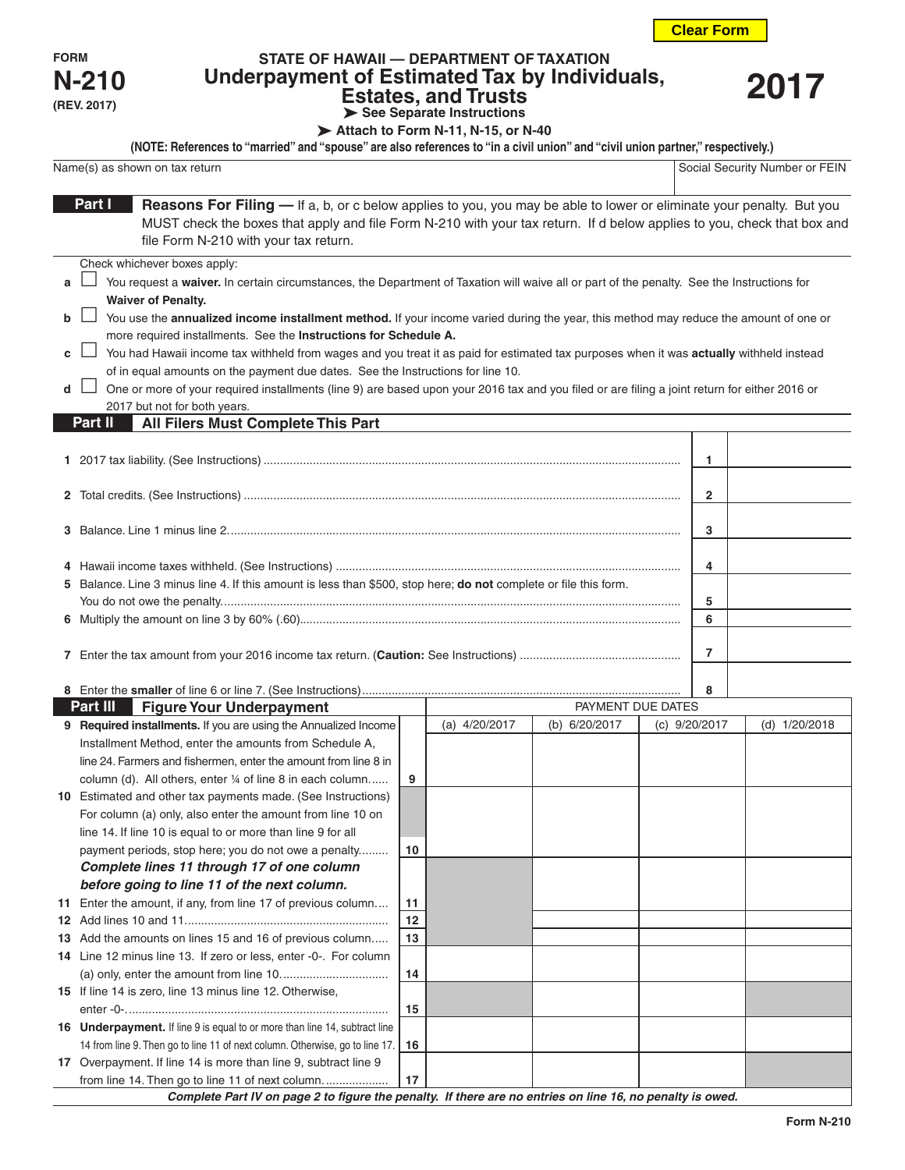**Clear Form**

**FORM N-210 (REV. 2017)**

## **STATE OF HAWAII — DEPARTMENT OF TAXATION Underpayment of Estimated Tax by Individuals, Estates, and Trusts See Separate Instructions**

**2017**

Attach to Form N-11, N-15, or N-40

| (NOTE: References to "married" and "spouse" are also references to "in a civil union" and "civil union partner," respectively.)       |                                |
|---------------------------------------------------------------------------------------------------------------------------------------|--------------------------------|
| Name(s) as shown on tax return                                                                                                        | Social Security Number or FEIN |
|                                                                                                                                       |                                |
| Part I<br><b>Reasons For Filing</b> — If a, b, or c below applies to you, you may be able to lower or eliminate your penalty. But you |                                |

MUST check the boxes that apply and file Form N-210 with your tax return. If d below applies to you, check that box and file Form N-210 with your tax return.

Check whichever boxes apply:

| a □ You request a waiver. In certain circumstances, the Department of Taxation will waive all or part of the penalty. See the Instructions for |  |  |  |
|------------------------------------------------------------------------------------------------------------------------------------------------|--|--|--|
| <b>Waiver of Penalty.</b>                                                                                                                      |  |  |  |

| b $\Box$ You use the annualized income installment method. If your income varied during the year, this method may reduce the amount of one or |
|-----------------------------------------------------------------------------------------------------------------------------------------------|
| more required installments. See the <b>Instructions for Schedule A.</b>                                                                       |

**c**  $\Box$  You had Hawaii income tax withheld from wages and you treat it as paid for estimated tax purposes when it was **actually** withheld instead of in equal amounts on the payment due dates. See the Instructions for line 10.

**d** □ One or more of your required installments (line 9) are based upon your 2016 tax and you filed or are filing a joint return for either 2016 or 2017 but not for both years.

## **All Filers Must Complete This Part Part II**

| 5 Balance. Line 3 minus line 4. If this amount is less than \$500, stop here; do not complete or file this form. |   |  |
|------------------------------------------------------------------------------------------------------------------|---|--|
|                                                                                                                  |   |  |
|                                                                                                                  | b |  |
|                                                                                                                  |   |  |
|                                                                                                                  |   |  |
|                                                                                                                  |   |  |
|                                                                                                                  |   |  |
|                                                                                                                  | 8 |  |

| Part III<br><b>Figure Your Underpayment</b>                                                               |    |               | PAYMENT DUE DATES |               |               |  |
|-----------------------------------------------------------------------------------------------------------|----|---------------|-------------------|---------------|---------------|--|
| 9 Required installments. If you are using the Annualized Income                                           |    | (a) 4/20/2017 | (b) 6/20/2017     | (c) 9/20/2017 | (d) 1/20/2018 |  |
| Installment Method, enter the amounts from Schedule A,                                                    |    |               |                   |               |               |  |
| line 24. Farmers and fishermen, enter the amount from line 8 in                                           |    |               |                   |               |               |  |
| column (d). All others, enter 1/4 of line 8 in each column                                                | 9  |               |                   |               |               |  |
| 10 Estimated and other tax payments made. (See Instructions)                                              |    |               |                   |               |               |  |
| For column (a) only, also enter the amount from line 10 on                                                |    |               |                   |               |               |  |
| line 14. If line 10 is equal to or more than line 9 for all                                               |    |               |                   |               |               |  |
| payment periods, stop here; you do not owe a penalty                                                      | 10 |               |                   |               |               |  |
| Complete lines 11 through 17 of one column                                                                |    |               |                   |               |               |  |
| before going to line 11 of the next column.                                                               |    |               |                   |               |               |  |
| 11 Enter the amount, if any, from line 17 of previous column                                              | 11 |               |                   |               |               |  |
|                                                                                                           | 12 |               |                   |               |               |  |
| 13 Add the amounts on lines 15 and 16 of previous column                                                  | 13 |               |                   |               |               |  |
| 14 Line 12 minus line 13. If zero or less, enter -0-. For column                                          |    |               |                   |               |               |  |
|                                                                                                           | 14 |               |                   |               |               |  |
| 15 If line 14 is zero, line 13 minus line 12. Otherwise,                                                  |    |               |                   |               |               |  |
|                                                                                                           | 15 |               |                   |               |               |  |
| 16 Underpayment. If line 9 is equal to or more than line 14, subtract line                                |    |               |                   |               |               |  |
| 14 from line 9. Then go to line 11 of next column. Otherwise, go to line 17.                              | 16 |               |                   |               |               |  |
| 17 Overpayment. If line 14 is more than line 9, subtract line 9                                           |    |               |                   |               |               |  |
|                                                                                                           | 17 |               |                   |               |               |  |
| Complete Part IV on page 2 to figure the penalty. If there are no entries on line 16, no penalty is owed. |    |               |                   |               |               |  |